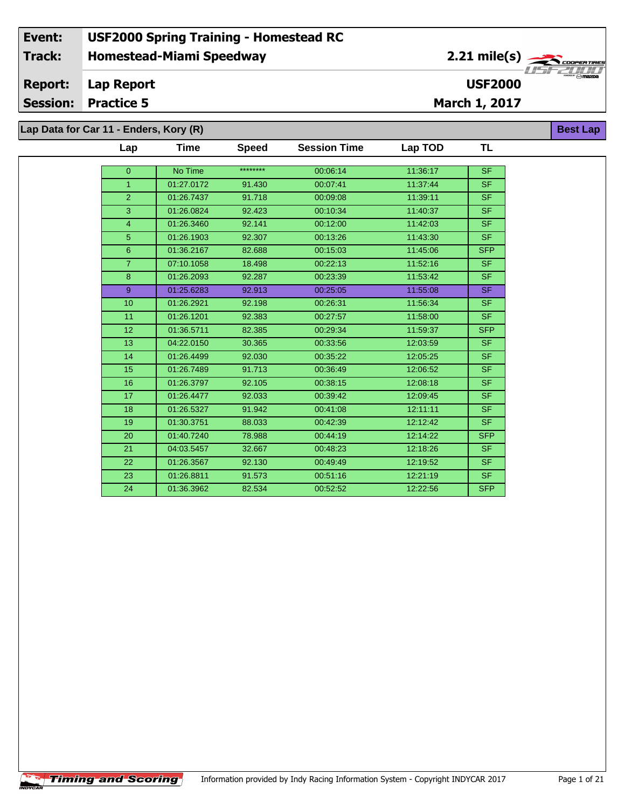**Lap Data for Car 11 - Enders, Kory (R)**

| Lap            | Time       | <b>Speed</b> | <b>Session Time</b> | Lap TOD  | TL         |
|----------------|------------|--------------|---------------------|----------|------------|
| $\mathbf{0}$   | No Time    | ********     | 00:06:14            | 11:36:17 | <b>SF</b>  |
| 1              | 01:27.0172 | 91.430       | 00:07:41            | 11:37:44 | <b>SF</b>  |
| $\overline{2}$ | 01:26.7437 | 91.718       | 00:09:08            | 11:39:11 | <b>SF</b>  |
|                |            |              |                     |          |            |
| 3              | 01:26.0824 | 92.423       | 00:10:34            | 11:40:37 | <b>SF</b>  |
| 4              | 01:26.3460 | 92.141       | 00:12:00            | 11:42:03 | <b>SF</b>  |
| $\sqrt{5}$     | 01:26.1903 | 92.307       | 00:13:26            | 11:43:30 | <b>SF</b>  |
| $6\phantom{1}$ | 01:36.2167 | 82.688       | 00:15:03            | 11:45:06 | <b>SFP</b> |
| $\overline{7}$ | 07:10.1058 | 18.498       | 00:22:13            | 11:52:16 | <b>SF</b>  |
| 8              | 01:26.2093 | 92.287       | 00:23:39            | 11:53:42 | SF.        |
| 9              | 01:25.6283 | 92.913       | 00:25:05            | 11:55:08 | <b>SF</b>  |
| 10             | 01:26.2921 | 92.198       | 00:26:31            | 11:56:34 | <b>SF</b>  |
| 11             | 01:26.1201 | 92.383       | 00:27:57            | 11:58:00 | <b>SF</b>  |
| 12             | 01:36.5711 | 82.385       | 00:29:34            | 11:59:37 | <b>SFP</b> |
| 13             | 04:22.0150 | 30.365       | 00:33:56            | 12:03:59 | <b>SF</b>  |
| 14             | 01:26.4499 | 92.030       | 00:35:22            | 12:05:25 | <b>SF</b>  |
| 15             | 01:26.7489 | 91.713       | 00:36:49            | 12:06:52 | <b>SF</b>  |
| 16             | 01:26.3797 | 92.105       | 00:38:15            | 12:08:18 | <b>SF</b>  |
| 17             | 01:26.4477 | 92.033       | 00:39:42            | 12:09:45 | <b>SF</b>  |
| 18             | 01:26.5327 | 91.942       | 00:41:08            | 12:11:11 | <b>SF</b>  |
| 19             | 01:30.3751 | 88.033       | 00:42:39            | 12:12:42 | <b>SF</b>  |
| 20             | 01:40.7240 | 78.988       | 00:44:19            | 12:14:22 | <b>SFP</b> |
| 21             | 04:03.5457 | 32.667       | 00:48:23            | 12:18:26 | <b>SF</b>  |
| 22             | 01:26.3567 | 92.130       | 00:49:49            | 12:19:52 | <b>SF</b>  |
| 23             | 01:26.8811 | 91.573       | 00:51:16            | 12:21:19 | SF.        |
| 24             | 01:36.3962 | 82.534       | 00:52:52            | 12:22:56 | <b>SFP</b> |

**Best Lap**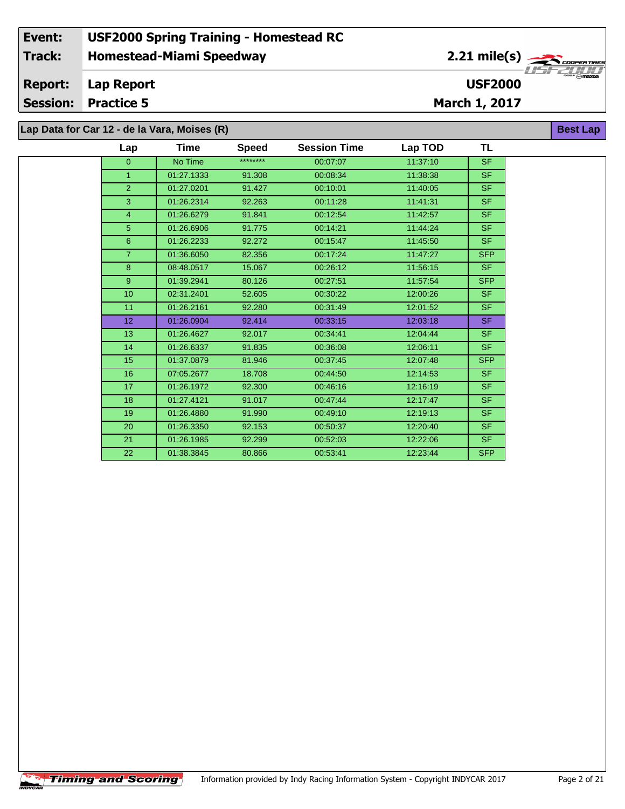## **Homestead-Miami Speedway Lap Report March 1, 2017 Event: USF2000 Spring Training - Homestead RC Track: Report: Session: Practice 5 USF2000** 2.21 mile(s) **Best Lap Lap Data for Car 12 - de la Vara, Moises (R)**

| Lap              | Time       | <b>Speed</b> | <b>Session Time</b> | Lap TOD  | TL         |
|------------------|------------|--------------|---------------------|----------|------------|
| $\overline{0}$   | No Time    | ********     | 00:07:07            | 11:37:10 | <b>SF</b>  |
| $\mathbf{1}$     | 01:27.1333 | 91.308       | 00:08:34            | 11:38:38 | SF.        |
| $\overline{2}$   | 01:27.0201 | 91.427       | 00:10:01            | 11:40:05 | SF.        |
| 3                | 01:26.2314 | 92.263       | 00:11:28            | 11:41:31 | SF.        |
| $\overline{4}$   | 01:26.6279 | 91.841       | 00:12:54            | 11:42:57 | <b>SF</b>  |
| 5                | 01:26.6906 | 91.775       | 00:14:21            | 11:44:24 | <b>SF</b>  |
| $6\phantom{1}$   | 01:26.2233 | 92.272       | 00:15:47            | 11:45:50 | <b>SF</b>  |
| $\overline{7}$   | 01:36.6050 | 82.356       | 00:17:24            | 11:47:27 | <b>SFP</b> |
| 8                | 08:48.0517 | 15.067       | 00:26:12            | 11:56:15 | <b>SF</b>  |
| 9                | 01:39.2941 | 80.126       | 00:27:51            | 11:57:54 | <b>SFP</b> |
| 10 <sup>10</sup> | 02:31.2401 | 52.605       | 00:30:22            | 12:00:26 | <b>SF</b>  |
| 11               | 01:26.2161 | 92.280       | 00:31:49            | 12:01:52 | <b>SF</b>  |
| 12 <sup>°</sup>  | 01:26.0904 | 92.414       | 00:33:15            | 12:03:18 | SF.        |
| 13               | 01:26.4627 | 92.017       | 00:34:41            | 12:04:44 | <b>SF</b>  |
| 14               | 01:26.6337 | 91.835       | 00:36:08            | 12:06:11 | <b>SF</b>  |
| 15               | 01:37.0879 | 81.946       | 00:37:45            | 12:07:48 | <b>SFP</b> |
| 16               | 07:05.2677 | 18.708       | 00:44:50            | 12:14:53 | <b>SF</b>  |
| 17               | 01:26.1972 | 92.300       | 00:46:16            | 12:16:19 | <b>SF</b>  |
| 18               | 01:27.4121 | 91.017       | 00:47:44            | 12:17:47 | <b>SF</b>  |
| 19               | 01:26.4880 | 91.990       | 00:49:10            | 12:19:13 | <b>SF</b>  |
| 20               | 01:26.3350 | 92.153       | 00:50:37            | 12:20:40 | SF.        |
| 21               | 01:26.1985 | 92.299       | 00:52:03            | 12:22:06 | <b>SF</b>  |
| 22               | 01:38.3845 | 80.866       | 00:53:41            | 12:23:44 | <b>SFP</b> |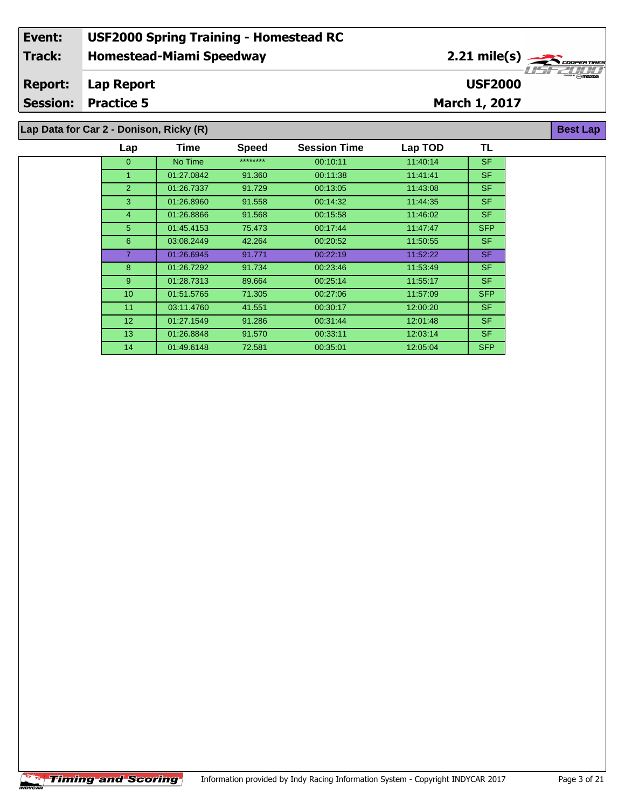| Event:                                                     | <b>USF2000 Spring Training - Homestead RC</b> |                        |                                                 |  |  |  |  |  |  |
|------------------------------------------------------------|-----------------------------------------------|------------------------|-------------------------------------------------|--|--|--|--|--|--|
| Track:                                                     | <b>Homestead-Miami Speedway</b>               | $2.21 \text{ mile(s)}$ |                                                 |  |  |  |  |  |  |
| <b>Report:</b>                                             | Lap Report                                    | <b>USF2000</b>         | <b><i><u><b>Prince Care Address</b></u></i></b> |  |  |  |  |  |  |
|                                                            | <b>Session: Practice 5</b>                    | March 1, 2017          |                                                 |  |  |  |  |  |  |
| Lap Data for Car 2 - Donison, Ricky (R)<br><b>Best Lap</b> |                                               |                        |                                                 |  |  |  |  |  |  |

| Lap             | Time       | <b>Speed</b> | <b>Session Time</b> | Lap TOD  | TL         |  |
|-----------------|------------|--------------|---------------------|----------|------------|--|
| $\overline{0}$  | No Time    | ********     | 00:10:11            | 11:40:14 | <b>SF</b>  |  |
|                 | 01:27.0842 | 91.360       | 00:11:38            | 11:41:41 | SF.        |  |
| 2               | 01:26.7337 | 91.729       | 00:13:05            | 11:43:08 | SF.        |  |
| 3               | 01:26.8960 | 91.558       | 00:14:32            | 11:44:35 | <b>SF</b>  |  |
| 4               | 01:26.8866 | 91.568       | 00:15:58            | 11:46:02 | SF.        |  |
| 5 <sup>5</sup>  | 01:45.4153 | 75.473       | 00:17:44            | 11:47:47 | <b>SFP</b> |  |
| 6               | 03:08.2449 | 42.264       | 00:20:52            | 11:50:55 | SF.        |  |
| 7               | 01:26.6945 | 91.771       | 00:22:19            | 11:52:22 | SF.        |  |
| 8               | 01:26.7292 | 91.734       | 00:23:46            | 11:53:49 | SF.        |  |
| 9               | 01:28.7313 | 89.664       | 00:25:14            | 11:55:17 | <b>SF</b>  |  |
| 10 <sup>°</sup> | 01:51.5765 | 71.305       | 00:27:06            | 11:57:09 | <b>SFP</b> |  |
| 11              | 03:11.4760 | 41.551       | 00:30:17            | 12:00:20 | SF.        |  |
| 12 <sup>2</sup> | 01:27.1549 | 91.286       | 00:31:44            | 12:01:48 | SF.        |  |
| 13              | 01:26.8848 | 91.570       | 00:33:11            | 12:03:14 | SF.        |  |
| 14              | 01:49.6148 | 72.581       | 00:35:01            | 12.05.04 | <b>SFP</b> |  |

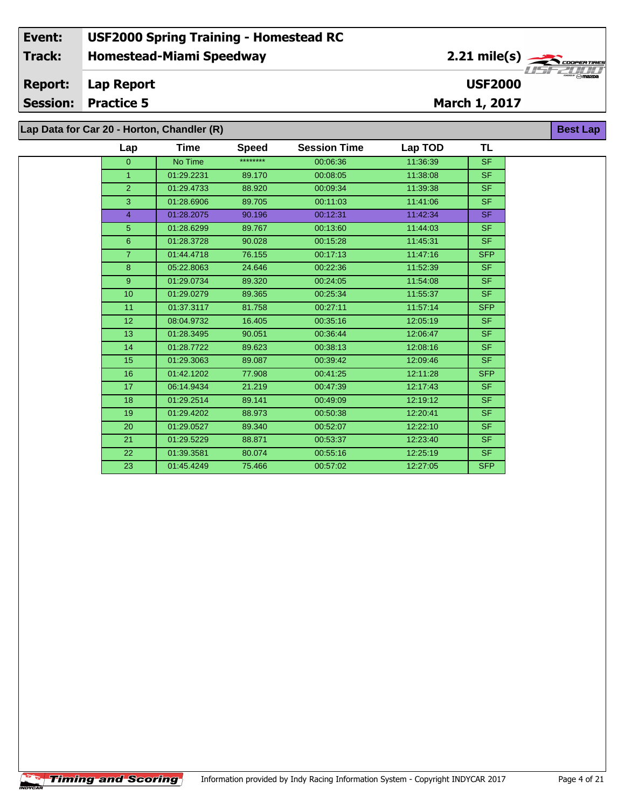## **Homestead-Miami Speedway Lap Report March 1, 2017 Event: USF2000 Spring Training - Homestead RC Track: Report: Session: Practice 5 USF2000** 2.21 mile(s) **Best Lap Lap Data for Car 20 - Horton, Chandler (R)**

| Lap            | Time       | <b>Speed</b> | <b>Session Time</b> | Lap TOD  | <b>TL</b>                |
|----------------|------------|--------------|---------------------|----------|--------------------------|
| $\Omega$       | No Time    | ********     | 00:06:36            | 11:36:39 | <b>SF</b>                |
| $\mathbf{1}$   | 01:29.2231 | 89.170       | 00:08:05            | 11:38:08 | <b>SF</b>                |
| 2 <sup>1</sup> | 01:29.4733 | 88.920       | 00:09:34            | 11:39:38 | SF.                      |
| 3              | 01:28.6906 | 89.705       | 00:11:03            | 11:41:06 | SF.                      |
| $\overline{4}$ | 01:28.2075 | 90.196       | 00:12:31            | 11:42:34 | <b>SF</b>                |
| $5\phantom{.}$ | 01:28.6299 | 89.767       | 00:13:60            | 11:44:03 | <b>SF</b>                |
| 6              | 01:28.3728 | 90.028       | 00:15:28            | 11:45:31 | $\overline{\mathsf{SF}}$ |
| $\overline{7}$ | 01:44.4718 | 76.155       | 00:17:13            | 11:47:16 | <b>SFP</b>               |
| 8              | 05:22.8063 | 24.646       | 00:22:36            | 11:52:39 | <b>SF</b>                |
| 9              | 01:29.0734 | 89.320       | 00:24:05            | 11:54:08 | SF.                      |
| 10             | 01:29.0279 | 89.365       | 00:25:34            | 11:55:37 | SF.                      |
| 11             | 01:37.3117 | 81.758       | 00:27:11            | 11:57:14 | <b>SFP</b>               |
| 12             | 08:04.9732 | 16.405       | 00:35:16            | 12:05:19 | <b>SF</b>                |
| 13             | 01:28.3495 | 90.051       | 00:36:44            | 12:06:47 | <b>SF</b>                |
| 14             | 01:28.7722 | 89.623       | 00:38:13            | 12:08:16 | <b>SF</b>                |
| 15             | 01:29.3063 | 89.087       | 00:39:42            | 12:09:46 | $\overline{\mathsf{SF}}$ |
| 16             | 01:42.1202 | 77.908       | 00:41:25            | 12:11:28 | <b>SFP</b>               |
| 17             | 06:14.9434 | 21.219       | 00:47:39            | 12:17:43 | <b>SF</b>                |
| 18             | 01:29.2514 | 89.141       | 00:49:09            | 12:19:12 | <b>SF</b>                |
| 19             | 01:29.4202 | 88.973       | 00:50:38            | 12:20:41 | SF.                      |
| 20             | 01:29.0527 | 89.340       | 00:52:07            | 12:22:10 | SF.                      |
| 21             | 01:29.5229 | 88.871       | 00:53:37            | 12:23:40 | SF.                      |
| 22             | 01:39.3581 | 80.074       | 00:55:16            | 12:25:19 | SF.                      |
| 23             | 01:45.4249 | 75.466       | 00:57:02            | 12:27:05 | <b>SFP</b>               |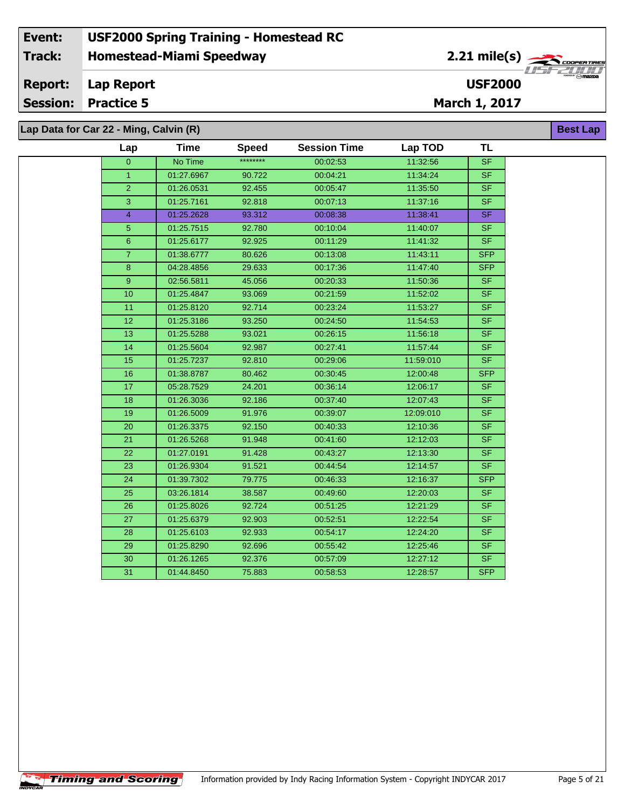## **Homestead-Miami Speedway Lap Report March 1, 2017 Event: USF2000 Spring Training - Homestead RC Track: Report: Session: Practice 5 USF2000** 2.21 mile(s) **Best Lap Lap Data for Car 22 - Ming, Calvin (R)**

| Lap            | <b>Time</b> | <b>Speed</b> | <b>Session Time</b> | Lap TOD   | TL                       |
|----------------|-------------|--------------|---------------------|-----------|--------------------------|
| $\overline{0}$ | No Time     | ********     | 00:02:53            | 11:32:56  | $\overline{\mathsf{SF}}$ |
| $\mathbf{1}$   | 01:27.6967  | 90.722       | 00:04:21            | 11:34:24  | <b>SF</b>                |
| $\overline{2}$ | 01:26.0531  | 92.455       | 00:05:47            | 11:35:50  | <b>SF</b>                |
| 3              | 01:25.7161  | 92.818       | 00:07:13            | 11:37:16  | <b>SF</b>                |
| $\overline{4}$ | 01:25.2628  | 93.312       | 00:08:38            | 11:38:41  | SF                       |
| $\sqrt{5}$     | 01:25.7515  | 92.780       | 00:10:04            | 11:40:07  | $S_{F}$                  |
| $\overline{6}$ | 01:25.6177  | 92.925       | 00:11:29            | 11:41:32  | <b>SF</b>                |
| $\overline{7}$ | 01:38.6777  | 80.626       | 00:13:08            | 11:43:11  | <b>SFP</b>               |
| $\bf 8$        | 04:28.4856  | 29.633       | 00:17:36            | 11:47:40  | <b>SFP</b>               |
| $9\,$          | 02:56.5811  | 45.056       | 00:20:33            | 11:50:36  | SF                       |
| 10             | 01:25.4847  | 93.069       | 00:21:59            | 11:52:02  | <b>SF</b>                |
| 11             | 01:25.8120  | 92.714       | 00:23:24            | 11:53:27  | <b>SF</b>                |
| 12             | 01:25.3186  | 93.250       | 00:24:50            | 11:54:53  | <b>SF</b>                |
| 13             | 01:25.5288  | 93.021       | 00:26:15            | 11:56:18  | $\overline{\mathsf{SF}}$ |
| 14             | 01:25.5604  | 92.987       | 00:27:41            | 11:57:44  | $\overline{\mathsf{SF}}$ |
| 15             | 01:25.7237  | 92.810       | 00:29:06            | 11:59:010 | <b>SF</b>                |
| 16             | 01:38.8787  | 80.462       | 00:30:45            | 12:00:48  | <b>SFP</b>               |
| 17             | 05:28.7529  | 24.201       | 00:36:14            | 12:06:17  | <b>SF</b>                |
| 18             | 01:26.3036  | 92.186       | 00:37:40            | 12:07:43  | <b>SF</b>                |
| 19             | 01:26.5009  | 91.976       | 00:39:07            | 12:09:010 | <b>SF</b>                |
| 20             | 01:26.3375  | 92.150       | 00:40:33            | 12:10:36  | SF.                      |
| 21             | 01:26.5268  | 91.948       | 00:41:60            | 12:12:03  | SF.                      |
| 22             | 01:27.0191  | 91.428       | 00:43:27            | 12:13:30  | SF.                      |
| 23             | 01:26.9304  | 91.521       | 00:44:54            | 12:14:57  | SF                       |
| 24             | 01:39.7302  | 79.775       | 00:46:33            | 12:16:37  | <b>SFP</b>               |
| 25             | 03:26.1814  | 38.587       | 00:49:60            | 12:20:03  | SF.                      |
| 26             | 01:25.8026  | 92.724       | 00:51:25            | 12:21:29  | <b>SF</b>                |
| 27             | 01:25.6379  | 92.903       | 00:52:51            | 12:22:54  | SF.                      |
| 28             | 01:25.6103  | 92.933       | 00:54:17            | 12:24:20  | <b>SF</b>                |
| 29             | 01:25.8290  | 92.696       | 00:55:42            | 12:25:46  | SF.                      |
| 30             | 01:26.1265  | 92.376       | 00:57:09            | 12:27:12  | <b>SF</b>                |
| 31             | 01:44.8450  | 75.883       | 00:58:53            | 12:28:57  | <b>SFP</b>               |

**Timing and Scoring**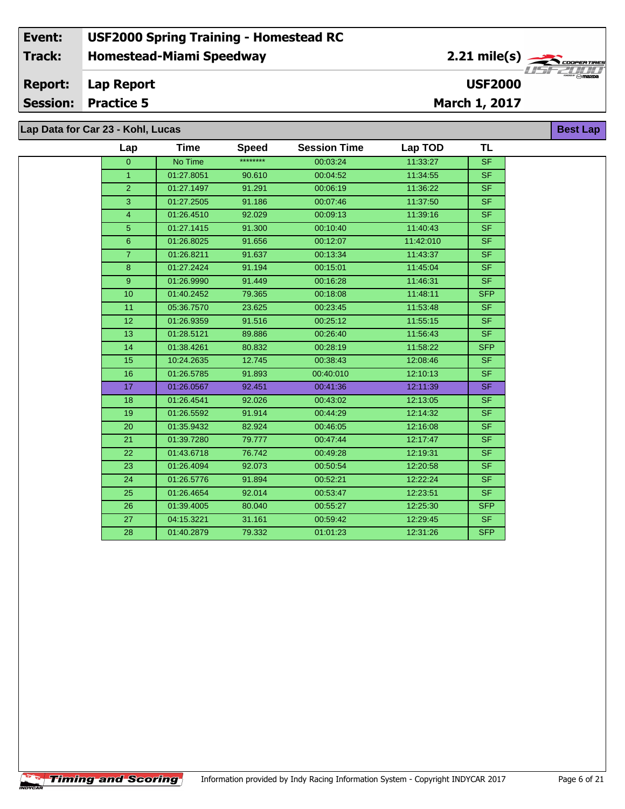**Lap Data for Car 23 - Kohl, Lucas**

 $\uparrow$ Timing and Scoring $\uparrow$ 

| Lap             | <b>Time</b> | <b>Speed</b> | <b>Session Time</b> | Lap TOD   | <b>TL</b>  |
|-----------------|-------------|--------------|---------------------|-----------|------------|
| $\overline{0}$  | No Time     | ********     | 00:03:24            | 11:33:27  | <b>SF</b>  |
| $\mathbf{1}$    | 01:27.8051  | 90.610       | 00:04:52            | 11:34:55  | <b>SF</b>  |
| $\overline{2}$  | 01:27.1497  | 91.291       | 00:06:19            | 11:36:22  | <b>SF</b>  |
| 3               | 01:27.2505  | 91.186       | 00:07:46            | 11:37:50  | <b>SF</b>  |
| 4               | 01:26.4510  | 92.029       | 00:09:13            | 11:39:16  | <b>SF</b>  |
| 5               | 01:27.1415  | 91.300       | 00:10:40            | 11:40:43  | SF         |
| $6\phantom{1}$  | 01:26.8025  | 91.656       | 00:12:07            | 11:42:010 | <b>SF</b>  |
| $\overline{7}$  | 01:26.8211  | 91.637       | 00:13:34            | 11:43:37  | <b>SF</b>  |
| $\bf8$          | 01:27.2424  | 91.194       | 00:15:01            | 11:45:04  | <b>SF</b>  |
| 9 <sup>°</sup>  | 01:26.9990  | 91.449       | 00:16:28            | 11:46:31  | <b>SF</b>  |
| 10              | 01:40.2452  | 79.365       | 00:18:08            | 11:48:11  | <b>SFP</b> |
| 11              | 05:36.7570  | 23.625       | 00:23:45            | 11:53:48  | <b>SF</b>  |
| 12 <sub>2</sub> | 01:26.9359  | 91.516       | 00:25:12            | 11:55:15  | <b>SF</b>  |
| 13              | 01:28.5121  | 89.886       | 00:26:40            | 11:56:43  | <b>SF</b>  |
| 14              | 01:38.4261  | 80.832       | 00:28:19            | 11:58:22  | <b>SFP</b> |
| 15              | 10:24.2635  | 12.745       | 00:38:43            | 12:08:46  | <b>SF</b>  |
| 16              | 01:26.5785  | 91.893       | 00:40:010           | 12:10:13  | <b>SF</b>  |
| 17              | 01:26.0567  | 92.451       | 00:41:36            | 12:11:39  | <b>SF</b>  |
| 18              | 01:26.4541  | 92.026       | 00:43:02            | 12:13:05  | <b>SF</b>  |
| 19              | 01:26.5592  | 91.914       | 00:44:29            | 12:14:32  | <b>SF</b>  |
| 20              | 01:35.9432  | 82.924       | 00:46:05            | 12:16:08  | <b>SF</b>  |
| 21              | 01:39.7280  | 79.777       | 00:47:44            | 12:17:47  | <b>SF</b>  |
| 22              | 01:43.6718  | 76.742       | 00:49:28            | 12:19:31  | <b>SF</b>  |
| 23              | 01:26.4094  | 92.073       | 00:50:54            | 12:20:58  | <b>SF</b>  |
| 24              | 01:26.5776  | 91.894       | 00:52:21            | 12:22:24  | <b>SF</b>  |
| 25              | 01:26.4654  | 92.014       | 00:53:47            | 12:23:51  | <b>SF</b>  |
| 26              | 01:39.4005  | 80.040       | 00:55:27            | 12:25:30  | <b>SFP</b> |
| 27              | 04:15.3221  | 31.161       | 00:59:42            | 12:29:45  | <b>SF</b>  |
| 28              | 01:40.2879  | 79.332       | 01:01:23            | 12:31:26  | <b>SFP</b> |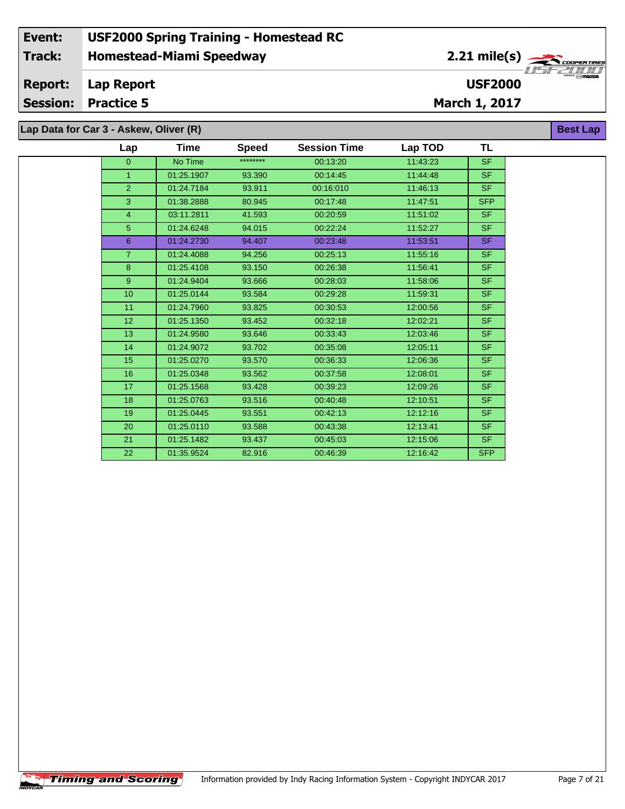**Lap Data for Car 3 - Askew, Oliver (R)**

| Lap             | Time       | <b>Speed</b> | <b>Session Time</b> | Lap TOD  | TL                       |
|-----------------|------------|--------------|---------------------|----------|--------------------------|
| $\overline{0}$  | No Time    | ********     | 00:13:20            | 11:43:23 | <b>SF</b>                |
| $\overline{1}$  | 01:25.1907 | 93.390       | 00:14:45            | 11:44:48 | <b>SF</b>                |
| $\overline{2}$  | 01:24.7184 | 93.911       | 00:16:010           | 11:46:13 | $\overline{\mathsf{SF}}$ |
| 3               | 01:38.2888 | 80.945       | 00:17:48            | 11:47:51 | <b>SFP</b>               |
| $\overline{4}$  | 03:11.2811 | 41.593       | 00:20:59            | 11:51:02 | SF.                      |
| 5               | 01:24.6248 | 94.015       | 00:22:24            | 11:52:27 | <b>SF</b>                |
| $6\overline{6}$ | 01:24.2730 | 94.407       | 00:23:48            | 11:53:51 | <b>SF</b>                |
| $\overline{7}$  | 01:24.4088 | 94.256       | 00:25:13            | 11:55:16 | <b>SF</b>                |
| 8               | 01:25.4108 | 93.150       | 00:26:38            | 11:56:41 | <b>SF</b>                |
| $\overline{9}$  | 01:24.9404 | 93.666       | 00:28:03            | 11:58:06 | <b>SF</b>                |
| 10              | 01:25.0144 | 93.584       | 00:29:28            | 11:59:31 | <b>SF</b>                |
| 11              | 01:24.7960 | 93.825       | 00:30:53            | 12:00:56 | <b>SF</b>                |
| 12 <sup>2</sup> | 01:25.1350 | 93.452       | 00:32:18            | 12:02:21 | <b>SF</b>                |
| 13              | 01:24.9580 | 93.646       | 00:33:43            | 12:03:46 | S <sub>F</sub>           |
| 14              | 01:24.9072 | 93.702       | 00:35:08            | 12:05:11 | <b>SF</b>                |
| 15              | 01:25.0270 | 93.570       | 00:36:33            | 12:06:36 | S <sub>F</sub>           |
| 16              | 01:25.0348 | 93.562       | 00:37:58            | 12:08:01 | <b>SF</b>                |
| 17              | 01:25.1568 | 93.428       | 00:39:23            | 12:09:26 | <b>SF</b>                |
| 18              | 01:25.0763 | 93.516       | 00:40:48            | 12:10:51 | <b>SF</b>                |
| 19              | 01:25.0445 | 93.551       | 00:42:13            | 12:12:16 | <b>SF</b>                |
| 20              | 01:25.0110 | 93.588       | 00:43:38            | 12:13:41 | <b>SF</b>                |
| 21              | 01:25.1482 | 93.437       | 00:45:03            | 12:15:06 | <b>SF</b>                |
| 22              | 01:35.9524 | 82.916       | 00:46:39            | 12:16:42 | <b>SFP</b>               |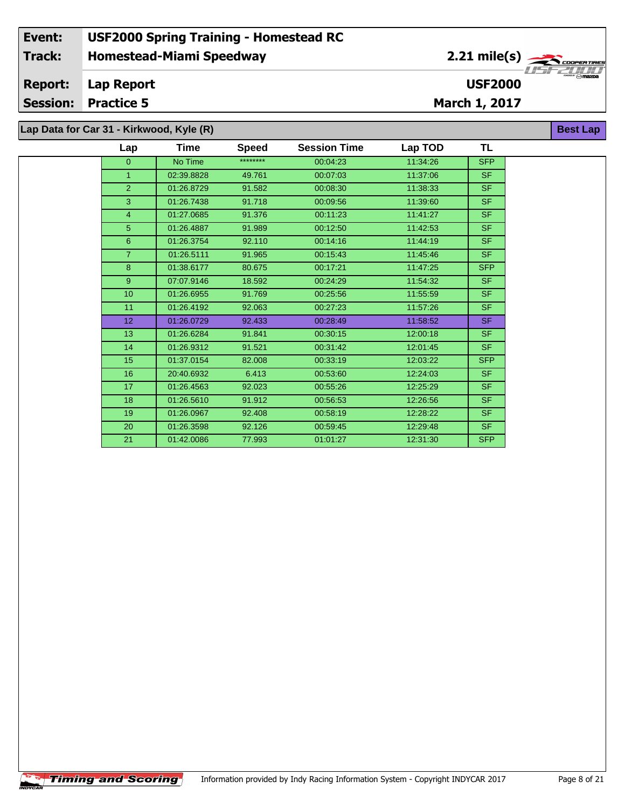| Data for Car 31 - Kirkwood, Kyle (R) |                 |            |              |                     |          |            |  |  |  |  |  |
|--------------------------------------|-----------------|------------|--------------|---------------------|----------|------------|--|--|--|--|--|
|                                      | Lap             | Time       | <b>Speed</b> | <b>Session Time</b> | Lap TOD  | TL.        |  |  |  |  |  |
|                                      | $\overline{0}$  | No Time    | ********     | 00:04:23            | 11:34:26 | <b>SFP</b> |  |  |  |  |  |
|                                      | $\mathbf{1}$    | 02:39.8828 | 49.761       | 00:07:03            | 11:37:06 | <b>SF</b>  |  |  |  |  |  |
|                                      | $\overline{2}$  | 01:26.8729 | 91.582       | 00:08:30            | 11:38:33 | <b>SF</b>  |  |  |  |  |  |
|                                      | 3               | 01:26.7438 | 91.718       | 00:09:56            | 11:39:60 | <b>SF</b>  |  |  |  |  |  |
|                                      | $\overline{4}$  | 01:27.0685 | 91.376       | 00:11:23            | 11:41:27 | <b>SF</b>  |  |  |  |  |  |
|                                      | 5 <sup>5</sup>  | 01:26.4887 | 91.989       | 00:12:50            | 11:42:53 | <b>SF</b>  |  |  |  |  |  |
|                                      | 6               | 01:26.3754 | 92.110       | 00:14:16            | 11:44:19 | <b>SF</b>  |  |  |  |  |  |
|                                      | $\overline{7}$  | 01:26.5111 | 91.965       | 00:15:43            | 11:45:46 | <b>SF</b>  |  |  |  |  |  |
|                                      | 8               | 01:38.6177 | 80.675       | 00:17:21            | 11:47:25 | <b>SFP</b> |  |  |  |  |  |
|                                      | 9               | 07:07.9146 | 18.592       | 00:24:29            | 11:54:32 | <b>SF</b>  |  |  |  |  |  |
|                                      | 10 <sup>1</sup> | 01:26.6955 | 91.769       | 00:25:56            | 11:55:59 | <b>SF</b>  |  |  |  |  |  |
|                                      | 11              | 01:26.4192 | 92.063       | 00:27:23            | 11:57:26 | <b>SF</b>  |  |  |  |  |  |
|                                      | 12 <sub>2</sub> | 01:26.0729 | 92.433       | 00:28:49            | 11:58:52 | <b>SF</b>  |  |  |  |  |  |
|                                      | 13              | 01:26.6284 | 91.841       | 00:30:15            | 12:00:18 | <b>SF</b>  |  |  |  |  |  |
|                                      | 14              | 01:26.9312 | 91.521       | 00:31:42            | 12:01:45 | SF.        |  |  |  |  |  |
|                                      | 15              | 01:37.0154 | 82.008       | 00:33:19            | 12:03:22 | <b>SFP</b> |  |  |  |  |  |
|                                      | 16              | 20:40.6932 | 6.413        | 00:53:60            | 12:24:03 | SF.        |  |  |  |  |  |
|                                      | 17              | 01:26.4563 | 92.023       | 00:55:26            | 12:25:29 | <b>SF</b>  |  |  |  |  |  |
|                                      | 18              | 01:26.5610 | 91.912       | 00:56:53            | 12:26:56 | <b>SF</b>  |  |  |  |  |  |
|                                      | 19              | 01:26.0967 | 92.408       | 00:58:19            | 12:28:22 | <b>SF</b>  |  |  |  |  |  |
|                                      | 20              | 01:26.3598 | 92.126       | 00:59:45            | 12:29:48 | SF.        |  |  |  |  |  |
|                                      | 21              | 01:42.0086 | 77.993       | 01:01:27            | 12:31:30 | <b>SFP</b> |  |  |  |  |  |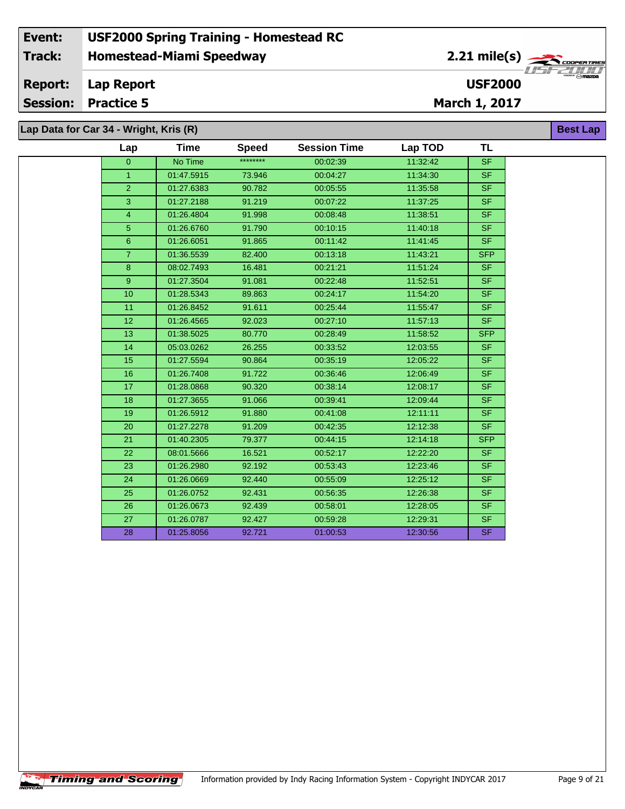#### **Event: USF2000 Spring Training - Homestead RC 2.21 mile(s) Track: Homestead-Miami Speedway** COOPERTIRE  $\frac{1}{2}$ **Report: Lap Report USF2000 Session: Practice 5 March 1, 2017 Lap Data for Car 34 - Wright, Kris (R) Best Lap**

| Lap             | Time       | <b>Speed</b> | <b>Session Time</b> | Lap TOD  | TL         |
|-----------------|------------|--------------|---------------------|----------|------------|
| $\mathbf{0}$    | No Time    | ********     | 00:02:39            | 11:32:42 | SF         |
| $\mathbf{1}$    | 01:47.5915 | 73.946       | 00:04:27            | 11:34:30 | SF.        |
| $\overline{2}$  | 01:27.6383 | 90.782       | 00:05:55            | 11:35:58 | SF.        |
| 3               | 01:27.2188 | 91.219       | 00:07:22            | 11:37:25 | SF.        |
| $\overline{4}$  | 01:26.4804 | 91.998       | 00:08:48            | 11:38:51 | SF.        |
| 5               | 01:26.6760 | 91.790       | 00:10:15            | 11:40:18 | <b>SF</b>  |
| $6\phantom{1}$  | 01:26.6051 | 91.865       | 00:11:42            | 11:41:45 | SF.        |
| $\overline{7}$  | 01:36.5539 | 82.400       | 00:13:18            | 11:43:21 | <b>SFP</b> |
| 8               | 08:02.7493 | 16.481       | 00:21:21            | 11:51:24 | SF.        |
| 9 <sup>°</sup>  | 01:27.3504 | 91.081       | 00:22:48            | 11:52:51 | <b>SF</b>  |
| 10              | 01:28.5343 | 89.863       | 00:24:17            | 11:54:20 | SF.        |
| 11              | 01:26.8452 | 91.611       | 00:25:44            | 11:55:47 | SF.        |
| 12 <sub>2</sub> | 01:26.4565 | 92.023       | 00:27:10            | 11:57:13 | SF.        |
| 13 <sup>°</sup> | 01:38.5025 | 80.770       | 00:28:49            | 11:58:52 | SFP        |
| 14              | 05:03.0262 | 26.255       | 00:33:52            | 12:03:55 | <b>SF</b>  |
| 15 <sub>2</sub> | 01:27.5594 | 90.864       | 00:35:19            | 12:05:22 | SF.        |
| 16              | 01:26.7408 | 91.722       | 00:36:46            | 12:06:49 | SF.        |
| 17 <sub>2</sub> | 01:28.0868 | 90.320       | 00:38:14            | 12:08:17 | SF.        |
| 18              | 01:27.3655 | 91.066       | 00:39:41            | 12:09:44 | SF.        |
| 19              | 01:26.5912 | 91.880       | 00:41:08            | 12:11:11 | SF.        |
| 20              | 01:27.2278 | 91.209       | 00:42:35            | 12:12:38 | SF.        |
| 21              | 01:40.2305 | 79.377       | 00:44:15            | 12:14:18 | <b>SFP</b> |
| 22              | 08:01.5666 | 16.521       | 00:52:17            | 12:22:20 | SF.        |
| 23              | 01:26.2980 | 92.192       | 00:53:43            | 12:23:46 | SF.        |
| 24              | 01:26.0669 | 92.440       | 00:55:09            | 12:25:12 | SF.        |
| 25              | 01:26.0752 | 92.431       | 00:56:35            | 12:26:38 | SF.        |
| 26              | 01:26.0673 | 92.439       | 00:58:01            | 12:28:05 | <b>SF</b>  |
| 27              | 01:26.0787 | 92.427       | 00:59:28            | 12:29:31 | SF.        |
| 28              | 01:25.8056 | 92.721       | 01:00:53            | 12:30:56 | SF.        |
|                 |            |              |                     |          |            |

 $\sqrt{\textbf{T}}$ iming and Scoring $\sqrt{\textbf{S}}$ 

CAR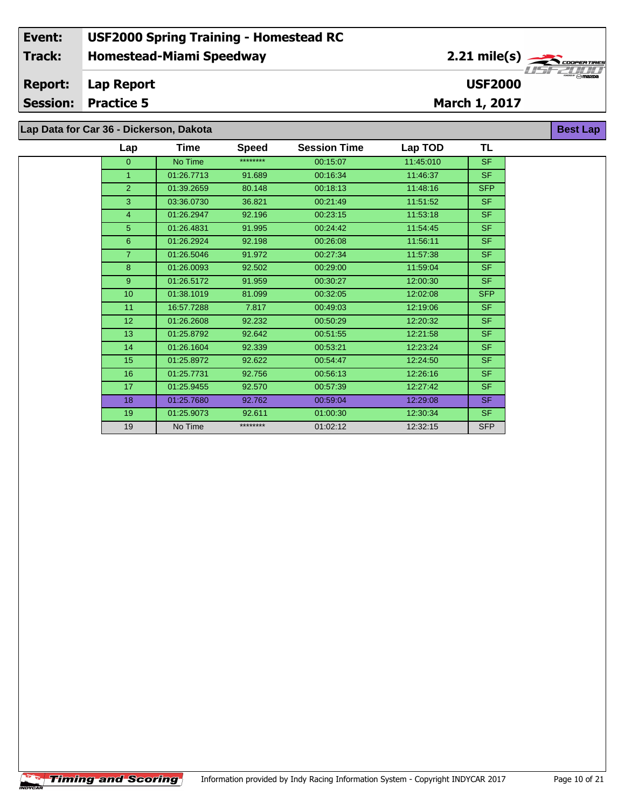## **Homestead-Miami Speedway Lap Report March 1, 2017 Event: USF2000 Spring Training - Homestead RC Track: Report: Session: Practice 5 USF2000** 2.21 mile(s) **Best Lap Lap Data for Car 36 - Dickerson, Dakota**

| Lap             | Time       | <b>Speed</b> | <b>Session Time</b> | Lap TOD   | <b>TL</b>  |
|-----------------|------------|--------------|---------------------|-----------|------------|
| $\overline{0}$  | No Time    | ********     | 00:15:07            | 11:45:010 | <b>SF</b>  |
| 1               | 01:26.7713 | 91.689       | 00:16:34            | 11:46:37  | <b>SF</b>  |
| $\overline{2}$  | 01:39.2659 | 80.148       | 00:18:13            | 11:48:16  | <b>SFP</b> |
| 3               | 03:36.0730 | 36.821       | 00:21:49            | 11:51:52  | <b>SF</b>  |
| $\overline{4}$  | 01:26.2947 | 92.196       | 00:23:15            | 11:53:18  | SF.        |
| 5 <sup>5</sup>  | 01:26.4831 | 91.995       | 00:24:42            | 11:54:45  | <b>SF</b>  |
| $6\phantom{1}$  | 01:26.2924 | 92.198       | 00:26:08            | 11:56:11  | <b>SF</b>  |
| $\overline{7}$  | 01:26.5046 | 91.972       | 00:27:34            | 11:57:38  | <b>SF</b>  |
| 8               | 01:26.0093 | 92.502       | 00:29:00            | 11:59:04  | <b>SF</b>  |
| 9 <sup>°</sup>  | 01:26.5172 | 91.959       | 00:30:27            | 12:00:30  | <b>SF</b>  |
| 10              | 01:38.1019 | 81.099       | 00:32:05            | 12:02:08  | <b>SFP</b> |
| 11              | 16:57.7288 | 7.817        | 00:49:03            | 12:19:06  | <b>SF</b>  |
| 12 <sup>2</sup> | 01:26.2608 | 92.232       | 00:50:29            | 12:20:32  | <b>SF</b>  |
| 13              | 01:25.8792 | 92.642       | 00:51:55            | 12:21:58  | <b>SF</b>  |
| 14              | 01:26.1604 | 92.339       | 00:53:21            | 12:23:24  | <b>SF</b>  |
| 15              | 01:25.8972 | 92.622       | 00:54:47            | 12:24:50  | <b>SF</b>  |
| 16              | 01:25.7731 | 92.756       | 00:56:13            | 12:26:16  | <b>SF</b>  |
| 17              | 01:25.9455 | 92.570       | 00:57:39            | 12:27:42  | <b>SF</b>  |
| 18              | 01:25.7680 | 92.762       | 00:59:04            | 12:29:08  | <b>SF</b>  |
| 19              | 01:25.9073 | 92.611       | 01:00:30            | 12:30:34  | SF.        |
| 19              | No Time    | ********     | 01:02:12            | 12:32:15  | <b>SFP</b> |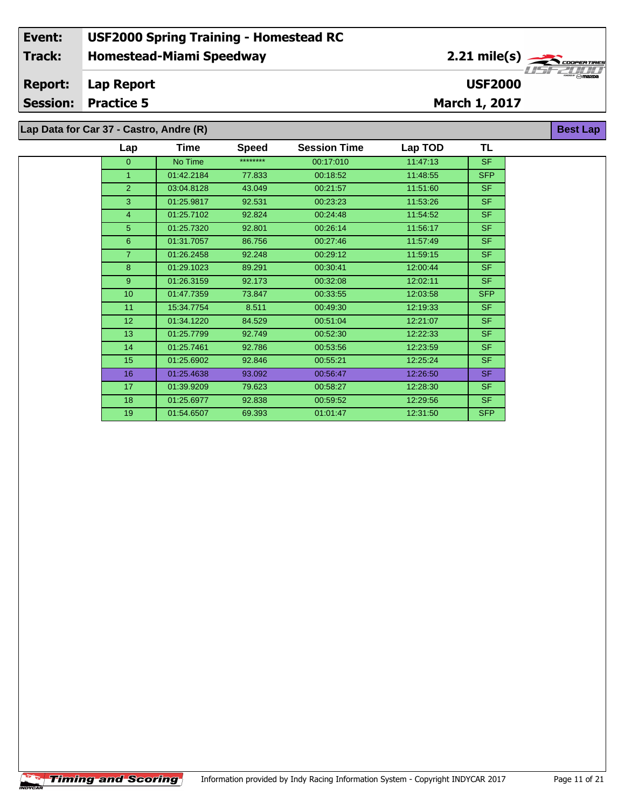| Lap Data for Car 37 - Castro, Andre (R) |  |
|-----------------------------------------|--|
|-----------------------------------------|--|

| Lap             | Time       | <b>Speed</b> | <b>Session Time</b> | Lap TOD  | TL         |  |
|-----------------|------------|--------------|---------------------|----------|------------|--|
| $\overline{0}$  | No Time    | ********     | 00:17:010           | 11:47:13 | <b>SF</b>  |  |
| $\mathbf{1}$    | 01:42.2184 | 77.833       | 00:18:52            | 11:48:55 | <b>SFP</b> |  |
| $\overline{2}$  | 03:04.8128 | 43.049       | 00:21:57            | 11:51:60 | <b>SF</b>  |  |
| 3               | 01:25.9817 | 92.531       | 00:23:23            | 11:53:26 | <b>SF</b>  |  |
| $\overline{4}$  | 01:25.7102 | 92.824       | 00:24:48            | 11:54:52 | <b>SF</b>  |  |
| 5               | 01:25.7320 | 92.801       | 00:26:14            | 11:56:17 | <b>SF</b>  |  |
| 6               | 01:31.7057 | 86.756       | 00:27:46            | 11:57:49 | <b>SF</b>  |  |
| $\overline{7}$  | 01:26.2458 | 92.248       | 00:29:12            | 11:59:15 | <b>SF</b>  |  |
| 8               | 01:29.1023 | 89.291       | 00:30:41            | 12:00:44 | <b>SF</b>  |  |
| 9               | 01:26.3159 | 92.173       | 00:32:08            | 12:02:11 | <b>SF</b>  |  |
| 10 <sup>1</sup> | 01:47.7359 | 73.847       | 00:33:55            | 12:03:58 | <b>SFP</b> |  |
| 11              | 15:34.7754 | 8.511        | 00:49:30            | 12:19:33 | <b>SF</b>  |  |
| 12 <sub>2</sub> | 01:34.1220 | 84.529       | 00:51:04            | 12:21:07 | <b>SF</b>  |  |
| 13              | 01:25.7799 | 92.749       | 00:52:30            | 12:22:33 | <b>SF</b>  |  |
| 14              | 01:25.7461 | 92.786       | 00:53:56            | 12:23:59 | <b>SF</b>  |  |
| 15              | 01:25.6902 | 92.846       | 00:55:21            | 12:25:24 | <b>SF</b>  |  |
| 16              | 01:25.4638 | 93.092       | 00:56:47            | 12:26:50 | SF.        |  |
| 17              | 01:39.9209 | 79.623       | 00:58:27            | 12:28:30 | <b>SF</b>  |  |
| 18              | 01:25.6977 | 92.838       | 00:59:52            | 12:29:56 | SF.        |  |
| 19              | 01:54.6507 | 69.393       | 01:01:47            | 12:31:50 | <b>SFP</b> |  |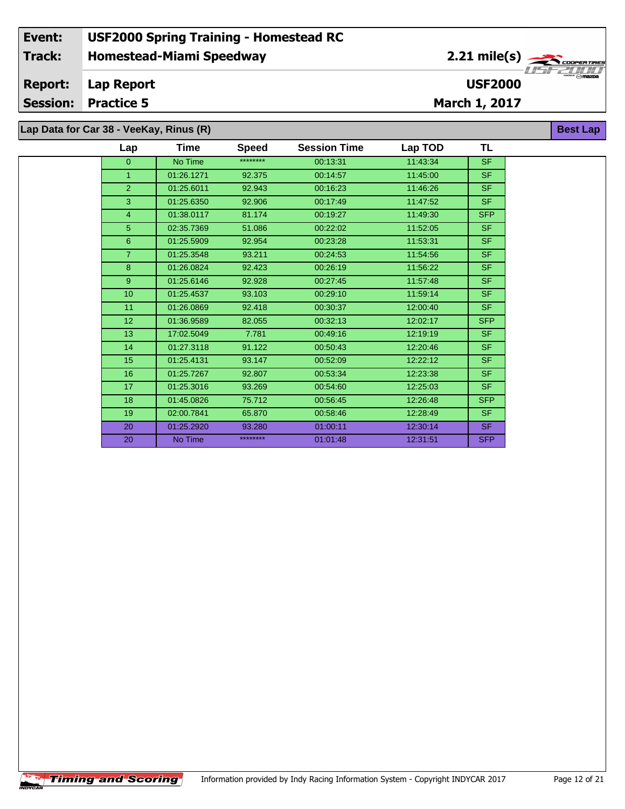## **Homestead-Miami Speedway Lap Report March 1, 2017 Event: USF2000 Spring Training - Homestead RC Track: Report: Session: Practice 5 USF2000** 2.21 mile(s) **Best Lap Lap Data for Car 38 - VeeKay, Rinus (R)**

| $P^{\text{max}}$ is said to reciding in the state |             |              |                     |          |            |  |  |
|---------------------------------------------------|-------------|--------------|---------------------|----------|------------|--|--|
| Lap                                               | <b>Time</b> | <b>Speed</b> | <b>Session Time</b> | Lap TOD  | <b>TL</b>  |  |  |
| $\overline{0}$                                    | No Time     | ********     | 00:13:31            | 11:43:34 | <b>SF</b>  |  |  |
| $\mathbf{1}$                                      | 01:26.1271  | 92.375       | 00:14:57            | 11:45:00 | SF.        |  |  |
| $\overline{2}$                                    | 01:25.6011  | 92.943       | 00:16:23            | 11:46:26 | SF.        |  |  |
| 3                                                 | 01:25.6350  | 92.906       | 00:17:49            | 11:47:52 | <b>SF</b>  |  |  |
| $\overline{4}$                                    | 01:38.0117  | 81.174       | 00:19:27            | 11:49:30 | <b>SFP</b> |  |  |
| 5                                                 | 02:35.7369  | 51.086       | 00:22:02            | 11:52:05 | <b>SF</b>  |  |  |
| $6\phantom{1}$                                    | 01:25.5909  | 92.954       | 00:23:28            | 11:53:31 | <b>SF</b>  |  |  |
| $\overline{7}$                                    | 01:25.3548  | 93.211       | 00:24:53            | 11:54:56 | SF.        |  |  |
| 8                                                 | 01:26.0824  | 92.423       | 00:26:19            | 11:56:22 | <b>SF</b>  |  |  |
| 9 <sup>°</sup>                                    | 01:25.6146  | 92.928       | 00:27:45            | 11:57:48 | <b>SF</b>  |  |  |
| 10                                                | 01:25.4537  | 93.103       | 00:29:10            | 11:59:14 | <b>SF</b>  |  |  |
| 11                                                | 01:26.0869  | 92.418       | 00:30:37            | 12:00:40 | <b>SF</b>  |  |  |
| 12 <sub>2</sub>                                   | 01:36.9589  | 82.055       | 00:32:13            | 12:02:17 | <b>SFP</b> |  |  |
| 13                                                | 17:02.5049  | 7.781        | 00:49:16            | 12:19:19 | SF.        |  |  |
| 14                                                | 01:27.3118  | 91.122       | 00:50:43            | 12:20:46 | SF.        |  |  |
| 15                                                | 01:25.4131  | 93.147       | 00:52:09            | 12:22:12 | <b>SF</b>  |  |  |
| 16                                                | 01:25.7267  | 92.807       | 00:53:34            | 12:23:38 | SF         |  |  |
| 17                                                | 01:25.3016  | 93.269       | 00:54:60            | 12:25:03 | SF.        |  |  |
| 18                                                | 01:45.0826  | 75.712       | 00:56:45            | 12:26:48 | <b>SFP</b> |  |  |
| 19                                                | 02:00.7841  | 65.870       | 00:58:46            | 12:28:49 | SF.        |  |  |
| 20                                                | 01:25.2920  | 93.280       | 01:00:11            | 12:30:14 | SF.        |  |  |
| 20                                                | No Time     | ********     | 01:01:48            | 12:31:51 | <b>SFP</b> |  |  |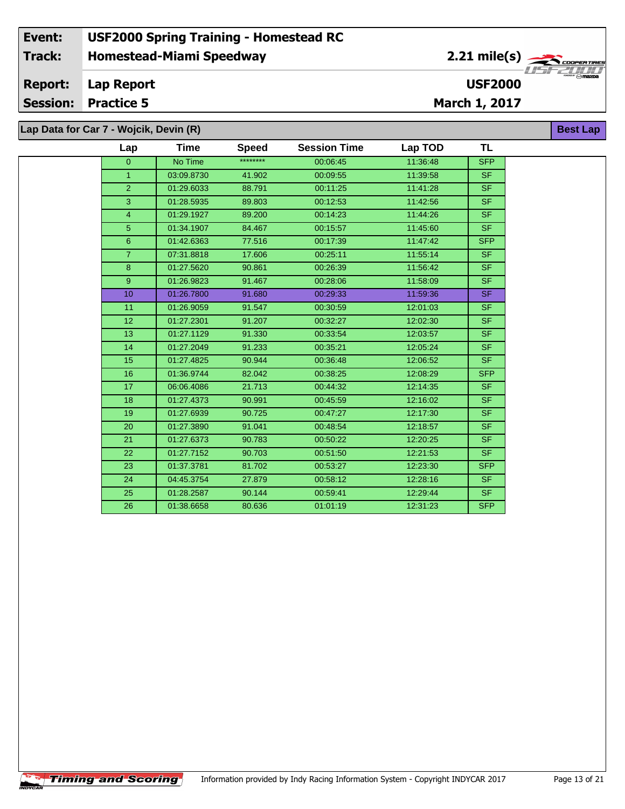#### **Event: USF2000 Spring Training - Homestead RC 2.21 mile(s) Track: Homestead-Miami Speedway** COOPERTIR **Report: Lap Report USF2000 Session: Practice 5 March 1, 2017** Lap | **Best Lap**

| Data for Car 7 - Wojcik, Devin (R) |            |              |                     |          |                          |  |  |  |
|------------------------------------|------------|--------------|---------------------|----------|--------------------------|--|--|--|
| Lap                                | Time       | <b>Speed</b> | <b>Session Time</b> | Lap TOD  | <b>TL</b>                |  |  |  |
| $\mathbf{0}$                       | No Time    | ********     | 00:06:45            | 11:36:48 | <b>SFP</b>               |  |  |  |
| $\mathbf{1}$                       | 03:09.8730 | 41.902       | 00:09:55            | 11:39:58 | SF.                      |  |  |  |
| $\overline{2}$                     | 01:29.6033 | 88.791       | 00:11:25            | 11:41:28 | <b>SF</b>                |  |  |  |
| 3                                  | 01:28.5935 | 89.803       | 00:12:53            | 11:42:56 | <b>SF</b>                |  |  |  |
| $\overline{4}$                     | 01:29.1927 | 89.200       | 00:14:23            | 11:44:26 | <b>SF</b>                |  |  |  |
| 5                                  | 01:34.1907 | 84.467       | 00:15:57            | 11:45:60 | <b>SF</b>                |  |  |  |
| 6                                  | 01:42.6363 | 77.516       | 00:17:39            | 11:47:42 | <b>SFP</b>               |  |  |  |
| $\overline{7}$                     | 07:31.8818 | 17.606       | 00:25:11            | 11:55:14 | <b>SF</b>                |  |  |  |
| 8                                  | 01:27.5620 | 90.861       | 00:26:39            | 11:56:42 | SF.                      |  |  |  |
| $\boldsymbol{9}$                   | 01:26.9823 | 91.467       | 00:28:06            | 11:58:09 | $\overline{\mathsf{SF}}$ |  |  |  |
| 10                                 | 01:26.7800 | 91.680       | 00:29:33            | 11:59:36 | SF.                      |  |  |  |
| 11                                 | 01:26.9059 | 91.547       | 00:30:59            | 12:01:03 | <b>SF</b>                |  |  |  |
| 12                                 | 01:27.2301 | 91.207       | 00:32:27            | 12:02:30 | SF.                      |  |  |  |
| 13                                 | 01:27.1129 | 91.330       | 00:33:54            | 12:03:57 | <b>SF</b>                |  |  |  |
| 14                                 | 01:27.2049 | 91.233       | 00:35:21            | 12:05:24 | SF.                      |  |  |  |
| 15                                 | 01:27.4825 | 90.944       | 00:36:48            | 12:06:52 | <b>SF</b>                |  |  |  |
| 16                                 | 01:36.9744 | 82.042       | 00:38:25            | 12:08:29 | <b>SFP</b>               |  |  |  |
| 17                                 | 06:06.4086 | 21.713       | 00:44:32            | 12:14:35 | SF.                      |  |  |  |
| 18                                 | 01:27.4373 | 90.991       | 00:45:59            | 12:16:02 | <b>SF</b>                |  |  |  |
| 19                                 | 01:27.6939 | 90.725       | 00:47:27            | 12:17:30 | SF.                      |  |  |  |
| 20                                 | 01:27.3890 | 91.041       | 00:48:54            | 12:18:57 | <b>SF</b>                |  |  |  |
| 21                                 | 01:27.6373 | 90.783       | 00:50:22            | 12:20:25 | SF.                      |  |  |  |
| $\overline{22}$                    | 01:27.7152 | 90.703       | 00:51:50            | 12:21:53 | <b>SF</b>                |  |  |  |
| 23                                 | 01:37.3781 | 81.702       | 00:53:27            | 12:23:30 | <b>SFP</b>               |  |  |  |
| 24                                 | 04:45.3754 | 27.879       | 00:58:12            | 12:28:16 | SF.                      |  |  |  |
| 25                                 | 01:28.2587 | 90.144       | 00:59:41            | 12:29:44 | <b>SF</b>                |  |  |  |
| 26                                 | 01:38.6658 | 80.636       | 01:01:19            | 12:31:23 | <b>SFP</b>               |  |  |  |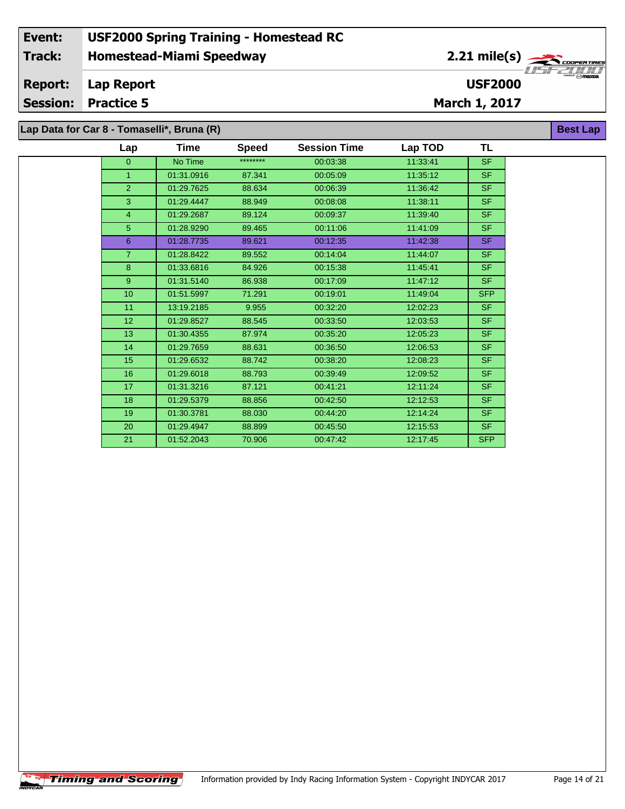## **Homestead-Miami Speedway Lap Report March 1, 2017 Event: USF2000 Spring Training - Homestead RC Track: Report: Session: Practice 5 USF2000** 2.21 mile(s) **Best Lap Lap Data for Car 8 - Tomaselli\*, Bruna (R)**

| Lap             | Time       | <b>Speed</b> | <b>Session Time</b> | Lap TOD  | <b>TL</b>  |
|-----------------|------------|--------------|---------------------|----------|------------|
| $\overline{0}$  | No Time    | ********     | 00:03:38            | 11:33:41 | <b>SF</b>  |
| $\mathbf{1}$    | 01:31.0916 | 87.341       | 00:05:09            | 11:35:12 | SF.        |
| $\overline{2}$  | 01:29.7625 | 88.634       | 00:06:39            | 11:36:42 | SF.        |
| 3               | 01:29.4447 | 88.949       | 00:08:08            | 11:38:11 | SF.        |
| 4               | 01:29.2687 | 89.124       | 00:09:37            | 11:39:40 | SF.        |
| 5               | 01:28.9290 | 89.465       | 00:11:06            | 11:41:09 | SF.        |
| 6               | 01:28.7735 | 89.621       | 00:12:35            | 11:42:38 | <b>SF</b>  |
| $\overline{7}$  | 01:28.8422 | 89.552       | 00:14:04            | 11:44:07 | <b>SF</b>  |
| 8               | 01:33.6816 | 84.926       | 00:15:38            | 11:45:41 | SF.        |
| 9 <sup>°</sup>  | 01:31.5140 | 86.938       | 00:17:09            | 11:47:12 | SF.        |
| 10              | 01:51.5997 | 71.291       | 00:19:01            | 11:49:04 | <b>SFP</b> |
| 11              | 13:19.2185 | 9.955        | 00:32:20            | 12:02:23 | SF.        |
| 12 <sub>2</sub> | 01:29.8527 | 88.545       | 00:33:50            | 12:03:53 | SF.        |
| 13              | 01:30.4355 | 87.974       | 00:35:20            | 12:05:23 | SF.        |
| 14              | 01:29.7659 | 88.631       | 00:36:50            | 12:06:53 | SF.        |
| 15              | 01:29.6532 | 88.742       | 00:38:20            | 12:08:23 | SF.        |
| 16              | 01:29.6018 | 88.793       | 00:39:49            | 12:09:52 | <b>SF</b>  |
| 17              | 01:31.3216 | 87.121       | 00:41:21            | 12:11:24 | SF.        |
| 18              | 01:29.5379 | 88.856       | 00:42:50            | 12:12:53 | SF.        |
| 19              | 01:30.3781 | 88.030       | 00:44:20            | 12:14:24 | SF.        |
| 20              | 01:29.4947 | 88.899       | 00:45:50            | 12:15:53 | SF.        |
| 21              | 01:52.2043 | 70.906       | 00:47:42            | 12:17:45 | <b>SFP</b> |
|                 |            |              |                     |          |            |

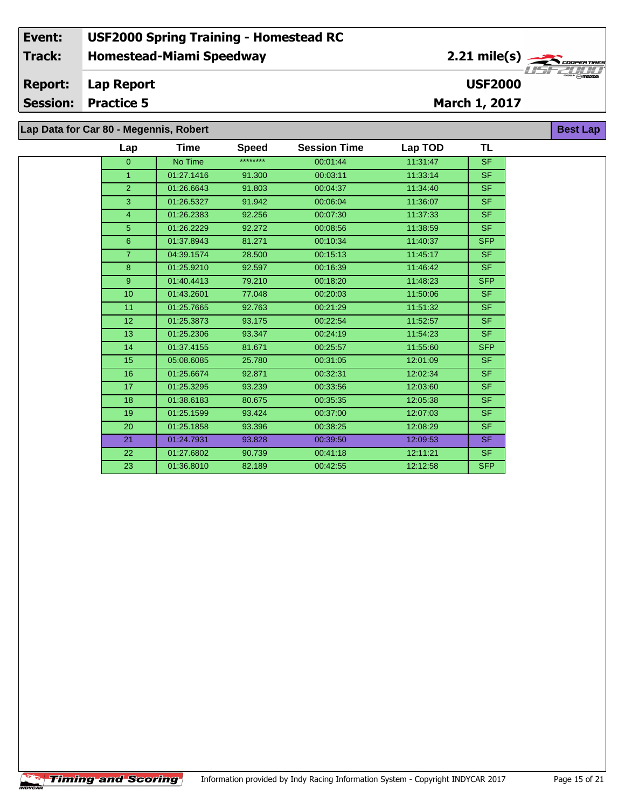# **Lap Data for Car 80 - Megennis, Robert**

| Lap              | Time       | <b>Speed</b> | <b>Session Time</b> | Lap TOD  | <b>TL</b>  |
|------------------|------------|--------------|---------------------|----------|------------|
| $\overline{0}$   | No Time    | ********     | 00:01:44            | 11:31:47 | <b>SF</b>  |
| $\mathbf{1}$     | 01:27.1416 | 91.300       | 00:03:11            | 11:33:14 | <b>SF</b>  |
| $\overline{2}$   | 01:26.6643 | 91.803       | 00:04:37            | 11:34:40 | SF.        |
| 3                | 01:26.5327 | 91.942       | 00:06:04            | 11:36:07 | <b>SF</b>  |
| 4                | 01:26.2383 | 92.256       | 00:07:30            | 11:37:33 | <b>SF</b>  |
| 5                | 01:26.2229 | 92.272       | 00:08:56            | 11:38:59 | <b>SF</b>  |
| 6                | 01:37.8943 | 81.271       | 00:10:34            | 11:40:37 | <b>SFP</b> |
| $\overline{7}$   | 04:39.1574 | 28.500       | 00:15:13            | 11:45:17 | <b>SF</b>  |
| 8                | 01:25.9210 | 92.597       | 00:16:39            | 11:46:42 | <b>SF</b>  |
| $9^{\circ}$      | 01:40.4413 | 79.210       | 00:18:20            | 11:48:23 | <b>SFP</b> |
| 10 <sup>10</sup> | 01:43.2601 | 77.048       | 00:20:03            | 11:50:06 | <b>SF</b>  |
| 11               | 01:25.7665 | 92.763       | 00:21:29            | 11:51:32 | <b>SF</b>  |
| 12 <sub>2</sub>  | 01:25.3873 | 93.175       | 00:22:54            | 11:52:57 | SF.        |
| 13               | 01:25.2306 | 93.347       | 00:24:19            | 11:54:23 | <b>SF</b>  |
| 14               | 01:37.4155 | 81.671       | 00:25:57            | 11:55:60 | <b>SFP</b> |
| 15               | 05:08.6085 | 25.780       | 00:31:05            | 12:01:09 | <b>SF</b>  |
| 16               | 01:25.6674 | 92.871       | 00:32:31            | 12:02:34 | <b>SF</b>  |
| 17               | 01:25.3295 | 93.239       | 00:33:56            | 12:03:60 | <b>SF</b>  |
| 18               | 01:38.6183 | 80.675       | 00:35:35            | 12:05:38 | <b>SF</b>  |
| 19               | 01:25.1599 | 93.424       | 00:37:00            | 12:07:03 | <b>SF</b>  |
| 20               | 01:25.1858 | 93.396       | 00:38:25            | 12:08:29 | <b>SF</b>  |
| 21               | 01:24.7931 | 93.828       | 00:39:50            | 12:09:53 | <b>SF</b>  |
| 22               | 01:27.6802 | 90.739       | 00:41:18            | 12:11:21 | SF.        |
| 23               | 01:36.8010 | 82.189       | 00:42:55            | 12:12:58 | <b>SFP</b> |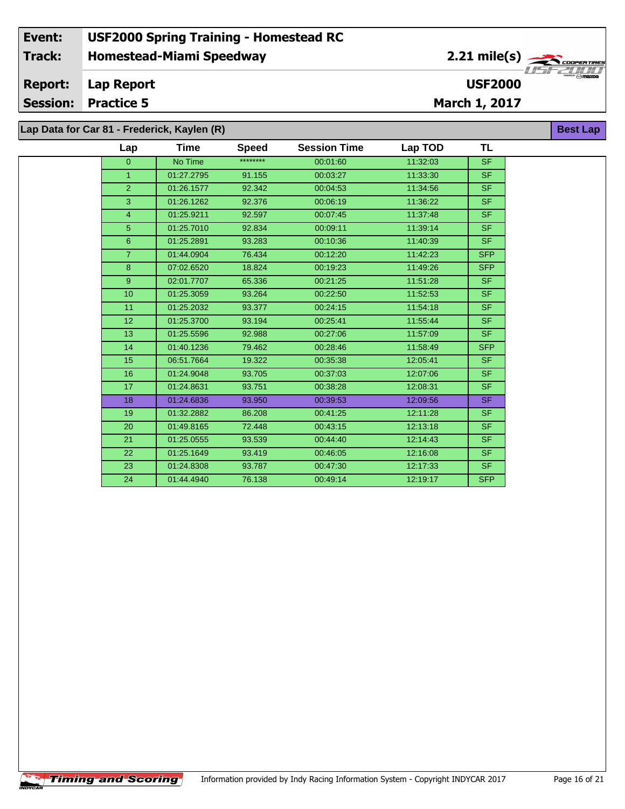#### **Event: USF2000 Spring Training - Homestead RC 2.21 mile(s) Track: Homestead-Miami Speedway COOPERTIRE** *OOPER TRE*<br>Maxba<br>Maxba **Report: Lap Report USF2000 Session: Practice 5 March 1, 2017 Lap Data for Car 81 - Frederick, Kaylen (R) Best Lap**

| Lap             | Time       | <b>Speed</b> | <b>Session Time</b> | Lap TOD  | <b>TL</b>  |
|-----------------|------------|--------------|---------------------|----------|------------|
| $\overline{0}$  | No Time    | ********     | 00:01:60            | 11:32:03 | <b>SF</b>  |
| $\mathbf{1}$    | 01:27.2795 | 91.155       | 00:03:27            | 11:33:30 | SF.        |
| $\overline{2}$  | 01:26.1577 | 92.342       | 00:04:53            | 11:34:56 | <b>SF</b>  |
| 3               | 01:26.1262 | 92.376       | 00:06:19            | 11:36:22 | <b>SF</b>  |
| $\overline{4}$  | 01:25.9211 | 92.597       | 00:07:45            | 11:37:48 | <b>SF</b>  |
| 5               | 01:25.7010 | 92.834       | 00:09:11            | 11:39:14 | SF.        |
| 6               | 01:25.2891 | 93.283       | 00:10:36            | 11:40:39 | SF.        |
| 7 <sup>1</sup>  | 01:44.0904 | 76.434       | 00:12:20            | 11:42:23 | <b>SFP</b> |
| 8               | 07:02.6520 | 18.824       | 00:19:23            | 11:49:26 | <b>SFP</b> |
| 9 <sup>°</sup>  | 02:01.7707 | 65.336       | 00:21:25            | 11:51:28 | SF.        |
| 10              | 01:25.3059 | 93.264       | 00:22:50            | 11:52:53 | SF.        |
| 11              | 01:25.2032 | 93.377       | 00:24:15            | 11:54:18 | <b>SF</b>  |
| 12 <sub>2</sub> | 01:25.3700 | 93.194       | 00:25:41            | 11:55:44 | SF         |
| 13              | 01:25.5596 | 92.988       | 00:27:06            | 11:57:09 | SF.        |
| 14              | 01:40.1236 | 79.462       | 00:28:46            | 11:58:49 | <b>SFP</b> |
| 15              | 06:51.7664 | 19.322       | 00:35:38            | 12:05:41 | SF.        |
| 16              | 01:24.9048 | 93.705       | 00:37:03            | 12:07:06 | SF.        |
| 17              | 01:24.8631 | 93.751       | 00:38:28            | 12:08:31 | <b>SF</b>  |
| 18              | 01:24.6836 | 93.950       | 00:39:53            | 12:09:56 | SF.        |
| 19              | 01:32.2882 | 86.208       | 00:41:25            | 12:11:28 | <b>SF</b>  |
| 20              | 01:49.8165 | 72.448       | 00:43:15            | 12:13:18 | SF.        |
| 21              | 01:25.0555 | 93.539       | 00:44:40            | 12:14:43 | SF.        |
| 22              | 01:25.1649 | 93.419       | 00:46:05            | 12:16:08 | SF.        |
| 23              | 01:24.8308 | 93.787       | 00:47:30            | 12:17:33 | SF.        |
| 24              | 01:44.4940 | 76.138       | 00:49:14            | 12:19:17 | <b>SFP</b> |
|                 |            |              |                     |          |            |

÷.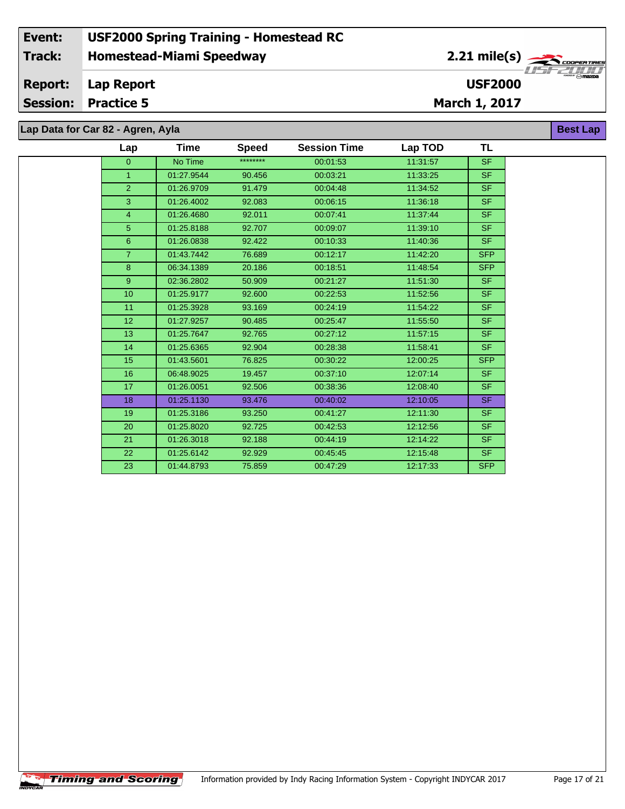# **Lap Data for Car 82 - Agren, Ayla**

| Lap              | Time       | <b>Speed</b> | <b>Session Time</b> | Lap TOD  | <b>TL</b>  |
|------------------|------------|--------------|---------------------|----------|------------|
| $\overline{0}$   | No Time    | ********     | 00:01:53            | 11:31:57 | <b>SF</b>  |
| $\mathbf{1}$     | 01:27.9544 | 90.456       | 00:03:21            | 11:33:25 | <b>SF</b>  |
| 2 <sup>1</sup>   | 01:26.9709 | 91.479       | 00:04:48            | 11:34:52 | <b>SF</b>  |
| 3                | 01:26.4002 | 92.083       | 00:06:15            | 11:36:18 | <b>SF</b>  |
| $\overline{4}$   | 01:26.4680 | 92.011       | 00:07:41            | 11:37:44 | <b>SF</b>  |
| 5 <sup>5</sup>   | 01:25.8188 | 92.707       | 00:09:07            | 11:39:10 | <b>SF</b>  |
| 6 <sup>°</sup>   | 01:26.0838 | 92.422       | 00:10:33            | 11:40:36 | SF.        |
| 7 <sup>1</sup>   | 01:43.7442 | 76.689       | 00:12:17            | 11:42:20 | <b>SFP</b> |
| 8                | 06:34.1389 | 20.186       | 00:18:51            | 11:48:54 | <b>SFP</b> |
| 9 <sup>°</sup>   | 02:36.2802 | 50.909       | 00:21:27            | 11:51:30 | <b>SF</b>  |
| 10 <sup>10</sup> | 01:25.9177 | 92.600       | 00:22:53            | 11:52:56 | <b>SF</b>  |
| 11               | 01:25.3928 | 93.169       | 00:24:19            | 11:54:22 | <b>SF</b>  |
| 12 <sup>2</sup>  | 01:27.9257 | 90.485       | 00:25:47            | 11:55:50 | <b>SF</b>  |
| 13               | 01:25.7647 | 92.765       | 00:27:12            | 11:57:15 | <b>SF</b>  |
| 14               | 01:25.6365 | 92.904       | 00:28:38            | 11:58:41 | <b>SF</b>  |
| 15               | 01:43.5601 | 76.825       | 00:30:22            | 12:00:25 | <b>SFP</b> |
| 16               | 06:48.9025 | 19.457       | 00:37:10            | 12:07:14 | <b>SF</b>  |
| 17               | 01:26.0051 | 92.506       | 00:38:36            | 12:08:40 | <b>SF</b>  |
| 18               | 01:25.1130 | 93.476       | 00:40:02            | 12:10:05 | <b>SF</b>  |
| 19               | 01:25.3186 | 93.250       | 00:41:27            | 12:11:30 | <b>SF</b>  |
| 20               | 01:25.8020 | 92.725       | 00:42:53            | 12:12:56 | <b>SF</b>  |
| 21               | 01:26.3018 | 92.188       | 00:44:19            | 12:14:22 | <b>SF</b>  |
| 22               | 01:25.6142 | 92.929       | 00:45:45            | 12:15:48 | <b>SF</b>  |
| 23               | 01:44.8793 | 75.859       | 00:47:29            | 12:17:33 | <b>SFP</b> |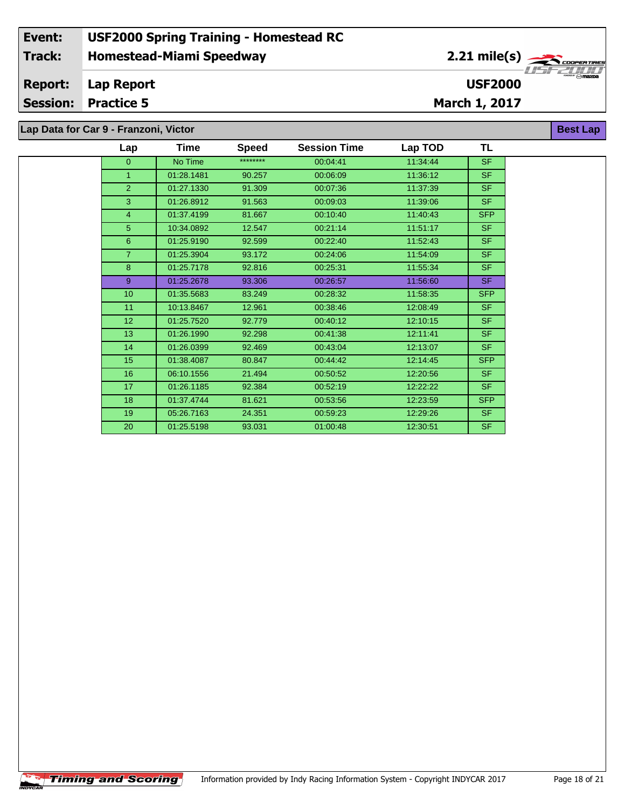**Lap Data for Car 9 - Franzoni, Victor**

| Lap            | Time       | <b>Speed</b> | <b>Session Time</b> | Lap TOD  | TL         |
|----------------|------------|--------------|---------------------|----------|------------|
| $\overline{0}$ | No Time    | ********     | 00:04:41            | 11:34:44 | <b>SF</b>  |
| 1              | 01:28.1481 | 90.257       | 00:06:09            | 11:36:12 | <b>SF</b>  |
| $\overline{2}$ | 01:27.1330 | 91.309       | 00:07:36            | 11:37:39 | <b>SF</b>  |
| 3              | 01:26.8912 | 91.563       | 00:09:03            | 11:39:06 | <b>SF</b>  |
| $\overline{4}$ | 01:37.4199 | 81.667       | 00:10:40            | 11:40:43 | <b>SFP</b> |
| 5              | 10:34.0892 | 12.547       | 00:21:14            | 11:51:17 | <b>SF</b>  |
| $6\phantom{1}$ | 01:25.9190 | 92.599       | 00:22:40            | 11:52:43 | <b>SF</b>  |
| $\overline{7}$ | 01:25.3904 | 93.172       | 00:24:06            | 11:54:09 | <b>SF</b>  |
| 8              | 01:25.7178 | 92.816       | 00:25:31            | 11:55:34 | <b>SF</b>  |
| 9              | 01:25.2678 | 93.306       | 00:26:57            | 11:56:60 | <b>SF</b>  |
| 10             | 01:35.5683 | 83.249       | 00:28:32            | 11:58:35 | <b>SFP</b> |
| 11             | 10:13.8467 | 12.961       | 00:38:46            | 12:08:49 | <b>SF</b>  |
| 12             | 01:25.7520 | 92.779       | 00:40:12            | 12:10:15 | <b>SF</b>  |
| 13             | 01:26.1990 | 92.298       | 00:41:38            | 12:11:41 | <b>SF</b>  |
| 14             | 01:26.0399 | 92.469       | 00:43:04            | 12:13:07 | <b>SF</b>  |
| 15             | 01:38.4087 | 80.847       | 00:44:42            | 12:14:45 | <b>SFP</b> |
| 16             | 06:10.1556 | 21.494       | 00:50:52            | 12:20:56 | <b>SF</b>  |
| 17             | 01:26.1185 | 92.384       | 00:52:19            | 12:22:22 | <b>SF</b>  |
| 18             | 01:37.4744 | 81.621       | 00:53:56            | 12:23:59 | <b>SFP</b> |
| 19             | 05:26.7163 | 24.351       | 00:59:23            | 12:29:26 | <b>SF</b>  |
| 20             | 01:25.5198 | 93.031       | 01:00:48            | 12:30:51 | <b>SF</b>  |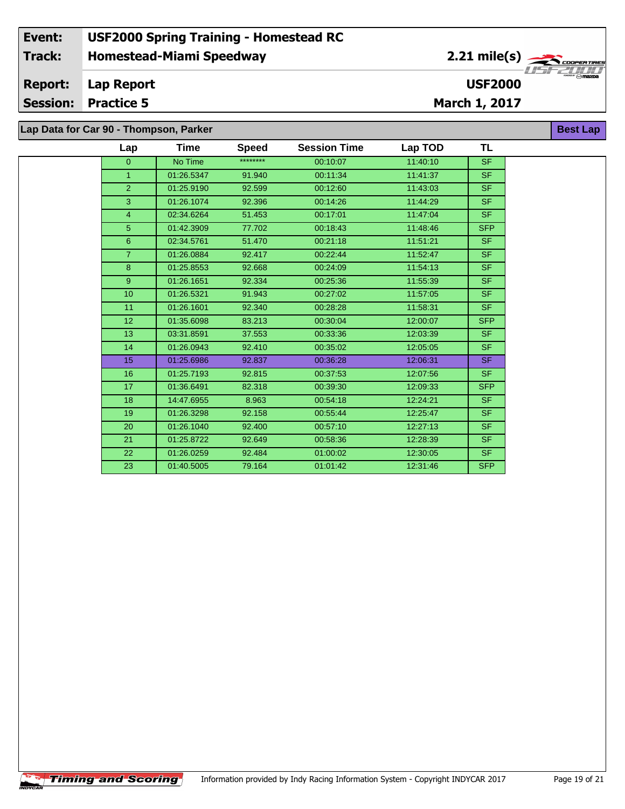| Lap            | Time       | <b>Speed</b> | <b>Session Time</b> | Lap TOD  | <b>TL</b>                |
|----------------|------------|--------------|---------------------|----------|--------------------------|
| $\overline{0}$ | No Time    | ********     | 00:10:07            | 11:40:10 | <b>SF</b>                |
| $\overline{1}$ | 01:26.5347 | 91.940       | 00:11:34            | 11:41:37 | <b>SF</b>                |
| $\overline{2}$ | 01:25.9190 | 92.599       | 00:12:60            | 11:43:03 | <b>SF</b>                |
| $\mathbf{3}$   | 01:26.1074 | 92.396       | 00:14:26            | 11:44:29 | SF.                      |
| $\overline{4}$ | 02:34.6264 | 51.453       | 00:17:01            | 11:47:04 | $\overline{\mathsf{SF}}$ |
| 5              | 01:42.3909 | 77.702       | 00:18:43            | 11:48:46 | <b>SFP</b>               |
| $6\phantom{1}$ | 02:34.5761 | 51.470       | 00:21:18            | 11:51:21 | <b>SF</b>                |
| $\overline{7}$ | 01:26.0884 | 92.417       | 00:22:44            | 11:52:47 | <b>SF</b>                |
| 8              | 01:25.8553 | 92.668       | 00:24:09            | 11:54:13 | <b>SF</b>                |
| 9              | 01:26.1651 | 92.334       | 00:25:36            | 11:55:39 | SF.                      |
| 10             | 01:26.5321 | 91.943       | 00:27:02            | 11:57:05 | <b>SF</b>                |
| 11             | 01:26.1601 | 92.340       | 00:28:28            | 11:58:31 | $\overline{\mathsf{SF}}$ |
| 12             | 01:35.6098 | 83.213       | 00:30:04            | 12:00:07 | <b>SFP</b>               |
| 13             | 03:31.8591 | 37.553       | 00:33:36            | 12:03:39 | <b>SF</b>                |
| 14             | 01:26.0943 | 92.410       | 00:35:02            | 12:05:05 | SF                       |
| 15             | 01:25.6986 | 92.837       | 00:36:28            | 12:06:31 | SF.                      |
| 16             | 01:25.7193 | 92.815       | 00:37:53            | 12:07:56 | <b>SF</b>                |
| 17             | 01:36.6491 | 82.318       | 00:39:30            | 12:09:33 | <b>SFP</b>               |
| 18             | 14:47.6955 | 8.963        | 00:54:18            | 12:24:21 | <b>SF</b>                |
| 19             | 01:26.3298 | 92.158       | 00:55:44            | 12:25:47 | <b>SF</b>                |
| 20             | 01:26.1040 | 92.400       | 00:57:10            | 12:27:13 | $\overline{\mathsf{SF}}$ |
| 21             | 01:25.8722 | 92.649       | 00:58:36            | 12:28:39 | <b>SF</b>                |
| 22             | 01:26.0259 | 92.484       | 01:00:02            | 12:30:05 | <b>SF</b>                |
| 23             | 01:40.5005 | 79.164       | 01:01:42            | 12:31:46 | <b>SFP</b>               |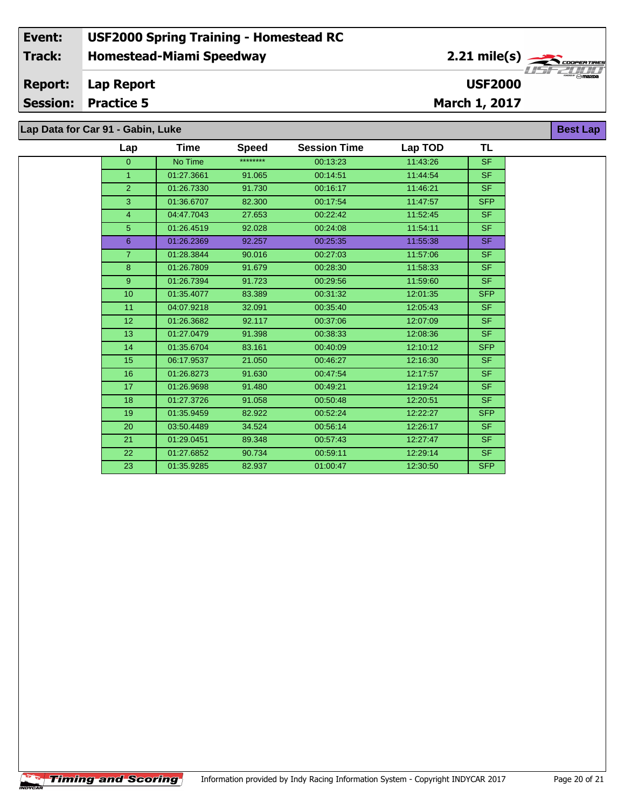|  |  |  |  |  |  | Lap Data for Car 91 - Gabin, Luke |  |
|--|--|--|--|--|--|-----------------------------------|--|
|--|--|--|--|--|--|-----------------------------------|--|

| Lap            | Time       | <b>Speed</b> | <b>Session Time</b> | Lap TOD  | TL         |
|----------------|------------|--------------|---------------------|----------|------------|
| $\overline{0}$ | No Time    | ********     | 00:13:23            | 11:43:26 | <b>SF</b>  |
| $\mathbf{1}$   | 01:27.3661 | 91.065       | 00:14:51            | 11:44:54 | <b>SF</b>  |
| $\overline{2}$ | 01:26.7330 | 91.730       | 00:16:17            | 11:46:21 | SF.        |
| 3              | 01:36.6707 | 82.300       | 00:17:54            | 11:47:57 | <b>SFP</b> |
| $\overline{4}$ | 04:47.7043 | 27.653       | 00:22:42            | 11:52:45 | <b>SF</b>  |
| 5 <sup>5</sup> | 01:26.4519 | 92.028       | 00:24:08            | 11:54:11 | <b>SF</b>  |
| 6              | 01:26.2369 | 92.257       | 00:25:35            | 11:55:38 | <b>SF</b>  |
| $\overline{7}$ | 01:28.3844 | 90.016       | 00:27:03            | 11:57:06 | SF         |
| 8              | 01:26.7809 | 91.679       | 00:28:30            | 11:58:33 | <b>SF</b>  |
| 9              | 01:26.7394 | 91.723       | 00:29:56            | 11:59:60 | SF.        |
| 10             | 01:35.4077 | 83.389       | 00:31:32            | 12:01:35 | <b>SFP</b> |
| 11             | 04:07.9218 | 32.091       | 00:35:40            | 12:05:43 | SF.        |
| 12             | 01:26.3682 | 92.117       | 00:37:06            | 12:07:09 | <b>SF</b>  |
| 13             | 01:27.0479 | 91.398       | 00:38:33            | 12:08:36 | <b>SF</b>  |
| 14             | 01:35.6704 | 83.161       | 00:40:09            | 12:10:12 | <b>SFP</b> |
| 15             | 06:17.9537 | 21.050       | 00:46:27            | 12:16:30 | <b>SF</b>  |
| 16             | 01:26.8273 | 91.630       | 00:47:54            | 12:17:57 | SF         |
| 17             | 01:26.9698 | 91.480       | 00:49:21            | 12:19:24 | <b>SF</b>  |
| 18             | 01:27.3726 | 91.058       | 00:50:48            | 12:20:51 | <b>SF</b>  |
| 19             | 01:35.9459 | 82.922       | 00:52:24            | 12:22:27 | <b>SFP</b> |
| 20             | 03:50.4489 | 34.524       | 00:56:14            | 12:26:17 | SF.        |
| 21             | 01:29.0451 | 89.348       | 00:57:43            | 12:27:47 | <b>SF</b>  |
| 22             | 01:27.6852 | 90.734       | 00:59:11            | 12:29:14 | <b>SF</b>  |
| 23             | 01:35.9285 | 82.937       | 01:00:47            | 12:30:50 | <b>SFP</b> |